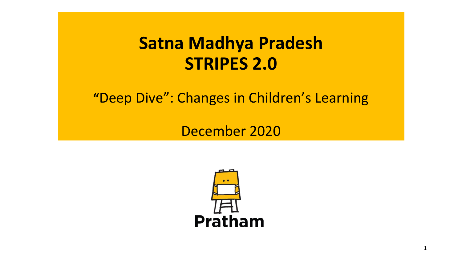# **Satna Madhya Pradesh STRIPES 2.0**

**"**Deep Dive": Changes in Children's Learning

December 2020



1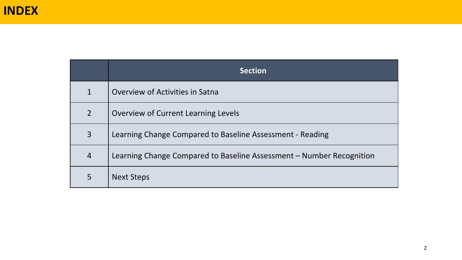|                | <b>Section</b>                                                       |
|----------------|----------------------------------------------------------------------|
| $\mathbf 1$    | Overview of Activities in Satna                                      |
| $\overline{2}$ | Overview of Current Learning Levels                                  |
| $\overline{3}$ | Learning Change Compared to Baseline Assessment - Reading            |
| $\overline{4}$ | Learning Change Compared to Baseline Assessment – Number Recognition |
| 5              | <b>Next Steps</b>                                                    |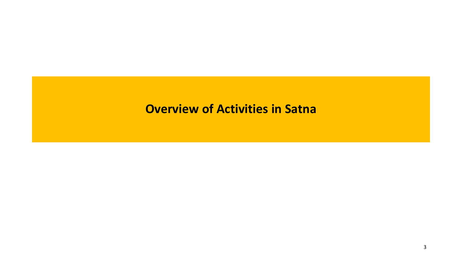#### **Overview of Activities in Satna**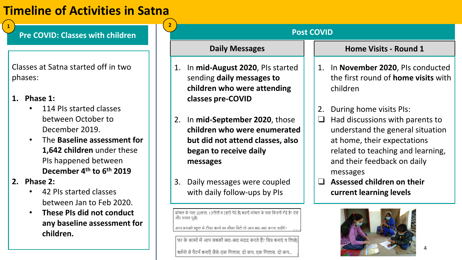## **Timeline of Activities in Satna**

- **1. Phase 1:** 
	- 114 PIs started classes between October to December 2019.
	- The **Baseline assessment for 1,642 children** under these PIs happened between **December 4th to 6th 2019**
- **2. Phase 2:** 
	- 42 PIs started classes between Jan to Feb 2020.
	- **These PIs did not conduct any baseline assessment for children.**

| <b>Pre COVID: Classes with children</b>                                                                                                                                                          | <b>Post COVID</b>                                                                                                                                                                                                                                                                                                                                                                                     |  |  |  |  |  |
|--------------------------------------------------------------------------------------------------------------------------------------------------------------------------------------------------|-------------------------------------------------------------------------------------------------------------------------------------------------------------------------------------------------------------------------------------------------------------------------------------------------------------------------------------------------------------------------------------------------------|--|--|--|--|--|
|                                                                                                                                                                                                  | <b>Daily Messages</b><br><b>Home Visits - Round 1</b>                                                                                                                                                                                                                                                                                                                                                 |  |  |  |  |  |
| Classes at Satna started off in two<br>phases:<br>1. Phase $1:$                                                                                                                                  | In November 2020, PIs conducted<br>In mid-August 2020, PIs started<br>1.<br>1.<br>the first round of <b>home visits</b> with<br>sending daily messages to<br>children<br>children who were attending<br>classes pre-COVID                                                                                                                                                                             |  |  |  |  |  |
| 114 PIs started classes<br>between October to<br>December 2019.<br>The Baseline assessment for<br>1,642 children under these<br>PIs happened between                                             | During home visits Pls:<br>2.<br>In mid-September 2020, those<br>Had discussions with parents to<br>$\sqcup$<br>2.<br>children who were enumerated<br>understand the general situation<br>at home, their expectations<br>but did not attend classes, also<br>began to receive daily<br>related to teaching and learning,<br>and their feedback on daily<br>messages                                   |  |  |  |  |  |
| December 4 <sup>th</sup> to 6 <sup>th</sup> 2019<br>2. Phase $2:$<br>42 PIs started classes<br>between Jan to Feb 2020.<br>These PIs did not conduct<br>any baseline assessment for<br>children. | messages<br>Assessed children on their<br>Daily messages were coupled<br>$\Box$<br>3.<br>with daily follow-ups by PIs<br>current learning levels<br>कोमल के पास 20लाल, 13नीली व 5हरी गेंदे है। बताएँ कोमल के पास कितनी गेंदे है? ऐसे<br>और सवाल पूछें।<br>अगरआपको स्कूल मे टीचर बनने का मौका मिले तो आप क्या-क्या करना चाहेंगे?<br>घर के कामों में आप सबकी क्या-क्या मदद करते हैं? चित्र बनाएं व लिखे |  |  |  |  |  |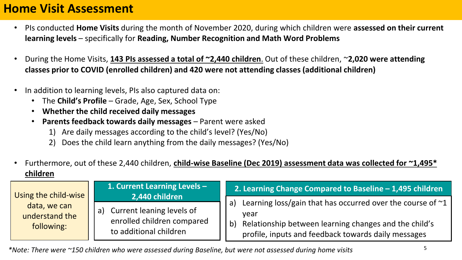#### **Home Visit Assessment**

- PIs conducted **Home Visits** during the month of November 2020, during which children were **assessed on their current learning levels** – specifically for **Reading, Number Recognition and Math Word Problems**
- During the Home Visits, **143 PIs assessed a total of ~2,440 children**. Out of these children, ~**2,020 were attending classes prior to COVID (enrolled children) and 420 were not attending classes (additional children)**
- In addition to learning levels, PIs also captured data on:
	- The **Child's Profile**  Grade, Age, Sex, School Type
	- **Whether the child received daily messages**
	- **Parents feedback towards daily messages**  Parent were asked
		- 1) Are daily messages according to the child's level? (Yes/No)
		- 2) Does the child learn anything from the daily messages? (Yes/No)
- Furthermore, out of these 2,440 children, **child-wise Baseline (Dec 2019) assessment data was collected for ~1,495\* children**

| Using the child-wise                         | 1. Current Learning Levels -<br>2,440 children                                          | 2. Learning Change Compared to Baseline - 1,495 children                                                                                                                                             |
|----------------------------------------------|-----------------------------------------------------------------------------------------|------------------------------------------------------------------------------------------------------------------------------------------------------------------------------------------------------|
| data, we can<br>understand the<br>following: | Current leaning levels of<br>a)<br>enrolled children compared<br>to additional children | Learning loss/gain that has occurred over the course of $\sim$ 1<br>a)<br>vear<br>Relationship between learning changes and the child's<br>b)<br>profile, inputs and feedback towards daily messages |

*\*Note: There were ~150 children who were assessed during Baseline, but were not assessed during home visits* <sup>5</sup>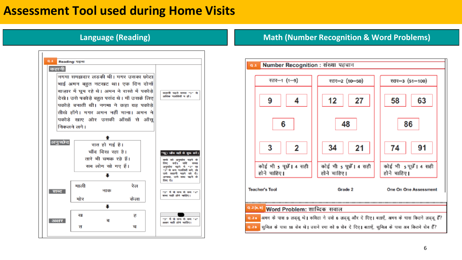#### **Assessment Tool used during Home Visits**



#### **Language (Reading) <b>Math (Number Recognition & Word Problems) Math (Number Recognition & Word Problems)**

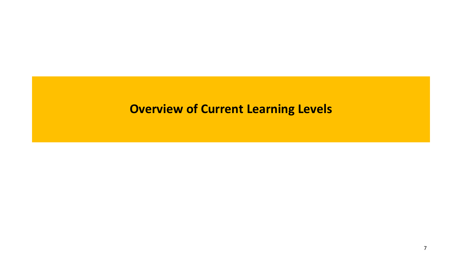#### **Overview of Current Learning Levels**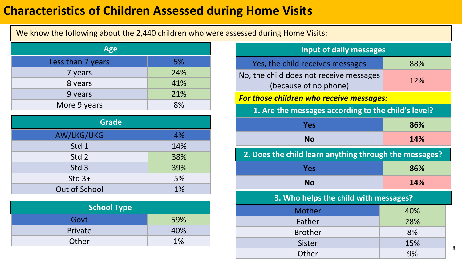#### **Characteristics of Children Assessed during Home Visits**

We know the following about the 2,440 children who were assessed during Home Visits:

| <b>Age</b>        |     |  |  |  |  |  |
|-------------------|-----|--|--|--|--|--|
| Less than 7 years | 5%  |  |  |  |  |  |
| 7 years           | 24% |  |  |  |  |  |
| 8 years           | 41% |  |  |  |  |  |
| 9 years           | 21% |  |  |  |  |  |
| More 9 years      | 8%  |  |  |  |  |  |

| <b>Grade</b>     |     |  |  |  |  |  |
|------------------|-----|--|--|--|--|--|
| AW/LKG/UKG       | 4%  |  |  |  |  |  |
| Std 1            | 14% |  |  |  |  |  |
| Std 2            | 38% |  |  |  |  |  |
| Std <sub>3</sub> | 39% |  |  |  |  |  |
| $Std$ 3+         | 5%  |  |  |  |  |  |
| Out of School    | 1%  |  |  |  |  |  |

| <b>School Type</b> |     |  |  |  |  |  |
|--------------------|-----|--|--|--|--|--|
| Govt               | 59% |  |  |  |  |  |
| Private            | 40% |  |  |  |  |  |
| Other              | 1%  |  |  |  |  |  |

| <b>Input of daily messages</b>                                   |     |  |  |  |  |  |  |
|------------------------------------------------------------------|-----|--|--|--|--|--|--|
| Yes, the child receives messages                                 | 88% |  |  |  |  |  |  |
| No, the child does not receive messages<br>(because of no phone) | 12% |  |  |  |  |  |  |
| <b>For those children who receive messages:</b>                  |     |  |  |  |  |  |  |
| 1. Are the messages according to the child's level?              |     |  |  |  |  |  |  |
| <b>Yes</b><br>86%                                                |     |  |  |  |  |  |  |
| <b>No</b>                                                        | 14% |  |  |  |  |  |  |
| 2. Does the child learn anything through the messages?           |     |  |  |  |  |  |  |
|                                                                  |     |  |  |  |  |  |  |
| <b>Yes</b>                                                       | 86% |  |  |  |  |  |  |
| <b>No</b>                                                        | 14% |  |  |  |  |  |  |
| 3. Who helps the child with messages?                            |     |  |  |  |  |  |  |
| Mother                                                           | 40% |  |  |  |  |  |  |
| Father                                                           | 28% |  |  |  |  |  |  |
| <b>Brother</b>                                                   | 8%  |  |  |  |  |  |  |
| <b>Sister</b>                                                    | 15% |  |  |  |  |  |  |

8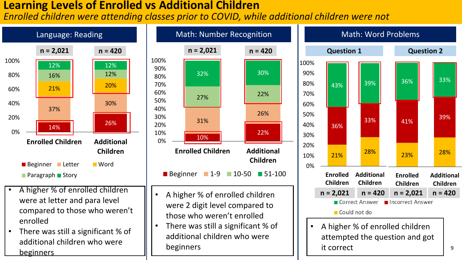#### **Learning Levels of Enrolled vs Additional Children**

*Enrolled children were attending classes prior to COVID, while additional children were not*

22%

**Children**

26%





• A higher % of enrolled children attempted the question and got it correct

9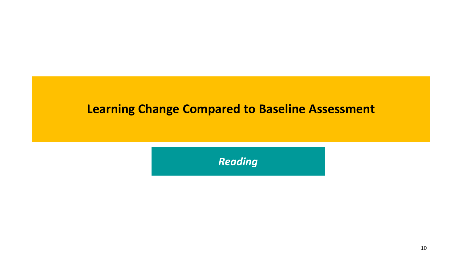#### **Learning Change Compared to Baseline Assessment**

*Reading*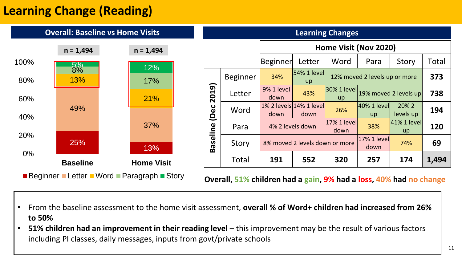## **Learning Change (Reading)**

|                                                                                                                   | <b>Overall: Baseline vs Home Visits</b> |                   |                                                                |                 |                                 |                                | <b>Learning Changes</b> |                               |                             |              |
|-------------------------------------------------------------------------------------------------------------------|-----------------------------------------|-------------------|----------------------------------------------------------------|-----------------|---------------------------------|--------------------------------|-------------------------|-------------------------------|-----------------------------|--------------|
|                                                                                                                   | $n = 1,494$                             | $n = 1,494$       |                                                                |                 |                                 |                                | Home Visit (Nov 2020)   |                               |                             |              |
| 100%                                                                                                              | $5\%$                                   | 12%               |                                                                |                 | <b>Beginner</b>                 | Letter                         | Word                    | Para                          | Story                       | <b>Total</b> |
| 80%                                                                                                               | 8%<br><b>13%</b>                        | 17%               | ∽                                                              | <b>Beginner</b> | 34%                             | $ 54\% 1$ level<br><b>up</b>   |                         | 12% moved 2 levels up or more |                             | 373          |
| 60%                                                                                                               |                                         | 21%               | $\sigma$<br>$\overline{\mathbf{C}}$<br>$\overline{\mathbf{N}}$ | Letter          | <b>9% 1 level</b><br>down       | 43%                            | $ 30\% 1$ level<br>up   |                               | 19% moved 2 levels up       | 738          |
| 40%                                                                                                               | 49%                                     |                   | ပ<br>Oe<br>O                                                   | Word            | 1% 2 levels 14% 1 level<br>down | down                           | 26%                     | $ 40\% 1$ level<br>up         | 20% 2<br>levels up          | 194          |
|                                                                                                                   |                                         | 37%               |                                                                | Para            |                                 | 4% 2 levels down               | $17%1$ level<br>down    | 38%                           | $41\%$ 1 level<br><b>up</b> | 120          |
| 20%                                                                                                               | 25%                                     | 13%               | Baseline                                                       | Story           |                                 | 8% moved 2 levels down or more |                         | 17% 1 level<br>down           | 74%                         | 69           |
| $0\%$                                                                                                             | <b>Baseline</b>                         | <b>Home Visit</b> |                                                                | Total           | 191                             | 552                            | 320                     | 257                           | 174                         | 1,494        |
| <b>Beginner Letter Word Paragraph Story</b><br>Overall, 51% children had a gain, 9% had a loss, 40% had no change |                                         |                   |                                                                |                 |                                 |                                |                         |                               |                             |              |

- From the baseline assessment to the home visit assessment, **overall % of Word+ children had increased from 26% to 50%**
- **51% children had an improvement in their reading level** this improvement may be the result of various factors including PI classes, daily messages, inputs from govt/private schools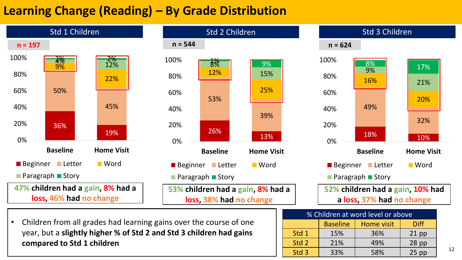## **Learning Change (Reading) – By Grade Distribution**



• Children from all grades had learning gains over the course of one year, but a **slightly higher % of Std 2 and Std 3 children had gains compared to Std 1 children**

| % Children at word level or above            |     |     |         |    |  |  |  |  |
|----------------------------------------------|-----|-----|---------|----|--|--|--|--|
| <b>Baseline</b><br><b>Diff</b><br>Home visit |     |     |         |    |  |  |  |  |
| Std 1                                        | 15% | 36% | $21$ pp |    |  |  |  |  |
| Std 2                                        | 21% | 49% | $28$ pp |    |  |  |  |  |
| Std <sub>3</sub>                             | 33% | 58% | $25$ pp | 12 |  |  |  |  |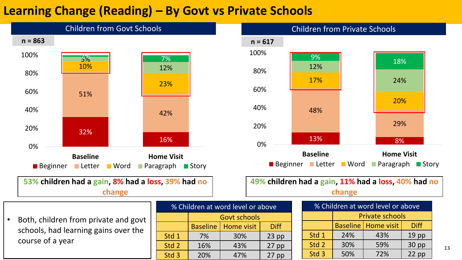## **Learning Change (Reading) – By Govt vs Private Schools**



**53% children had a gain, 8% had a loss, 39% had no change**

• Both, children from private and govt schools, had learning gains over the course of a year

| % Children at word level or above |                                              |         |  |  |  |  |  |  |  |
|-----------------------------------|----------------------------------------------|---------|--|--|--|--|--|--|--|
|                                   | <b>Govt schools</b>                          |         |  |  |  |  |  |  |  |
|                                   | <b>Baseline</b><br>Home visit<br><b>Diff</b> |         |  |  |  |  |  |  |  |
| Std 1                             | 7%                                           | $23$ pp |  |  |  |  |  |  |  |
| Std 2                             | 16%                                          | $27$ pp |  |  |  |  |  |  |  |
| Std 3                             | 20%<br>47%<br>$27$ pp                        |         |  |  |  |  |  |  |  |



**49% children had a gain, 11% had a loss, 40% had no change**

| % Children at word level or above |                                             |     |                  |  |  |  |  |  |  |
|-----------------------------------|---------------------------------------------|-----|------------------|--|--|--|--|--|--|
|                                   | <b>Private schools</b>                      |     |                  |  |  |  |  |  |  |
|                                   | <b>Baseline   Home visit</b><br><b>Diff</b> |     |                  |  |  |  |  |  |  |
| Std 1                             | 24%                                         | 43% | 19 <sub>pp</sub> |  |  |  |  |  |  |
| Std 2                             | 30 pp<br>30%<br>59%                         |     |                  |  |  |  |  |  |  |
| Std 3                             | 50%                                         | 72% | $22$ pp          |  |  |  |  |  |  |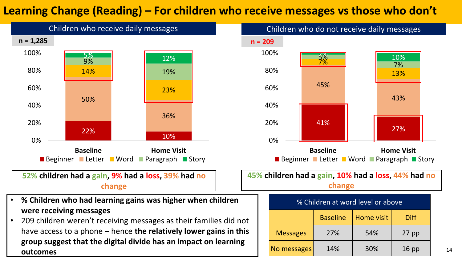#### **Learning Change (Reading) – For children who receive messages vs those who don't**

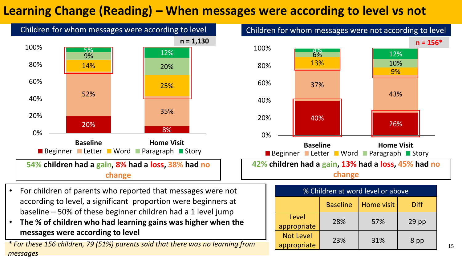## **Learning Change (Reading) – When messages were according to level vs not**



- For children of parents who reported that messages were not according to level, a significant proportion were beginners at baseline – 50% of these beginner children had a 1 level jump
- **The % of children who had learning gains was higher when the messages were according to level**

appropriate 23% 156 children, 79 (51%) parents said that there was no learning from the appropriate 23% 1 31% 1 8 pp **\*** *messages*

Baseline | Home visit | Diff

appropriate 28% 57% 29 pp

Level

Not Level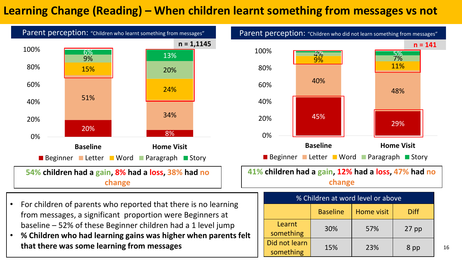#### **Learning Change (Reading) – When children learnt something from messages vs not**



- baseline 52% of these Beginner children had a 1 level jump
- **% Children who had learning gains was higher when parents felt that there was some learning from messages**

something 15% 23% 8 pp <sup>16</sup>

 $\begin{array}{|c|c|c|c|c|c|c|c|}\n\hline\n\text{something} & 30\% & 57\% & 27 \text{ pp}\n\end{array}$ 

Did not learn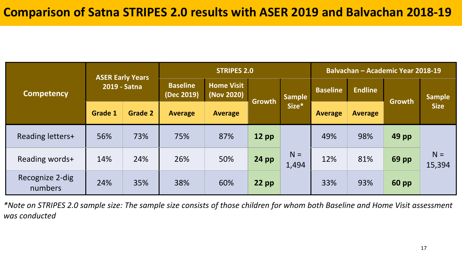|                            |                |                                                                                                             | <b>STRIPES 2.0</b><br>Balvachan - Academic Year 2018-19 |                |               |                 |                |                |               |                 |
|----------------------------|----------------|-------------------------------------------------------------------------------------------------------------|---------------------------------------------------------|----------------|---------------|-----------------|----------------|----------------|---------------|-----------------|
| <b>Competency</b>          |                | <b>ASER Early Years</b><br><b>Home Visit</b><br><b>Baseline</b><br>2019 - Satna<br>(Nov 2020)<br>(Dec 2019) |                                                         | <b>Sample</b>  |               | <b>Baseline</b> | <b>Endline</b> |                | <b>Sample</b> |                 |
|                            | <b>Grade 1</b> | <b>Grade 2</b>                                                                                              | <b>Average</b>                                          | <b>Average</b> | <b>Growth</b> | Size*           | <b>Average</b> | <b>Average</b> | Growth        | <b>Size</b>     |
| Reading letters+           | 56%            | 73%                                                                                                         | 75%                                                     | 87%            | $12$ pp       |                 | 49%            | 98%            | 49 pp         |                 |
| Reading words+             | 14%            | 24%                                                                                                         | 26%                                                     | 50%            | <b>24 pp</b>  | $N =$<br>1,494  | 12%            | 81%            | 69 pp         | $N =$<br>15,394 |
| Recognize 2-dig<br>numbers | 24%            | 35%                                                                                                         | 38%                                                     | 60%            | $22$ pp       |                 | 33%            | 93%            | <b>60 pp</b>  |                 |

*\*Note on STRIPES 2.0 sample size: The sample size consists of those children for whom both Baseline and Home Visit assessment was conducted*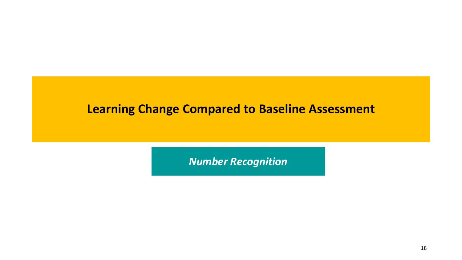#### **Learning Change Compared to Baseline Assessment**

*Number Recognition*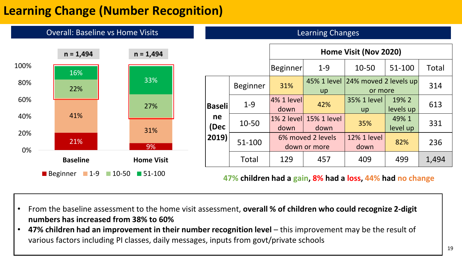## **Learning Change (Number Recognition)**



- From the baseline assessment to the home visit assessment, **overall % of children who could recognize 2-digit numbers has increased from 38% to 60%**
- **47% children had an improvement in their number recognition level** this improvement may be the result of various factors including PI classes, daily messages, inputs from govt/private schools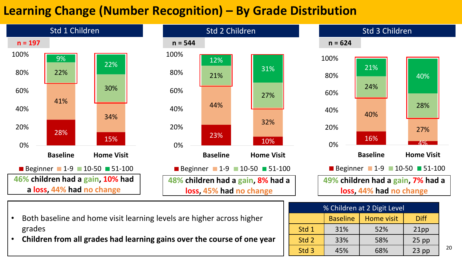## **Learning Change (Number Recognition) – By Grade Distribution**



- Both baseline and home visit learning levels are higher across higher grades
- **Children from all grades had learning gains over the course of one year**

| $\frac{1}{20}$ contained at $\frac{1}{2}$ bigit Level |                 |            |             |    |  |
|-------------------------------------------------------|-----------------|------------|-------------|----|--|
|                                                       | <b>Baseline</b> | Home visit | <b>Diff</b> |    |  |
| Std 1                                                 | 31%             | 52%        | 21pp        |    |  |
| Std 2                                                 | 33%             | 58%        | $25$ pp     |    |  |
| Std 3                                                 | 45%             | 68%        | $23$ pp     | 20 |  |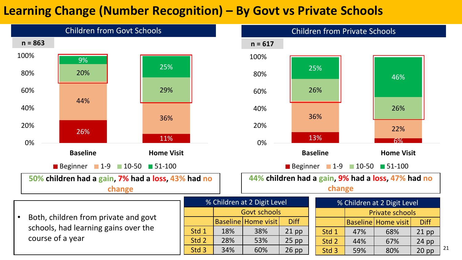### **Learning Change (Number Recognition) – By Govt vs Private Schools**

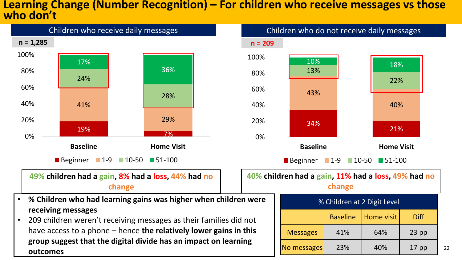#### **Learning Change (Number Recognition) – For children who receive messages vs those who don't**

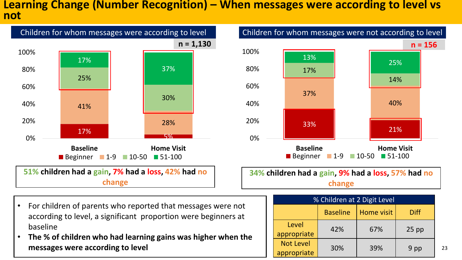#### **Learning Change (Number Recognition) – When messages were according to level vs not**



• For children of parents who reported that messages were not according to level, a significant proportion were beginners at baseline

• **The % of children who had learning gains was higher when the messages were according to level**

**34% children had a gain, 9% had a loss, 57% had no change**

| % Children at 2 Digit Level     |                 |                   |             |    |  |
|---------------------------------|-----------------|-------------------|-------------|----|--|
|                                 | <b>Baseline</b> | <b>Home visit</b> | <b>Diff</b> |    |  |
| Level<br>appropriate            | 42%             | 67%               | $25$ pp     |    |  |
| <b>Not Level</b><br>appropriate | 30%             | 39%               | 9 pp        | 23 |  |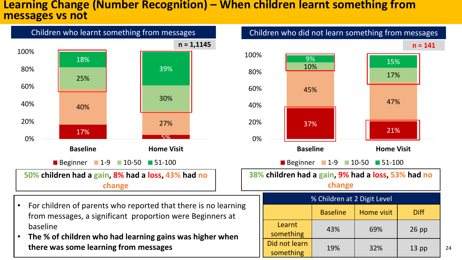#### **Learning Change (Number Recognition) – When children learnt something from messages vs not**